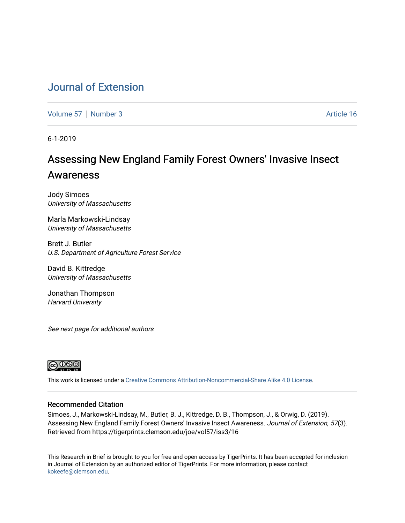# [Journal of Extension](https://tigerprints.clemson.edu/joe)

[Volume 57](https://tigerprints.clemson.edu/joe/vol57) [Number 3](https://tigerprints.clemson.edu/joe/vol57/iss3) Article 16

6-1-2019

# Assessing New England Family Forest Owners' Invasive Insect Awareness

Jody Simoes University of Massachusetts

Marla Markowski-Lindsay University of Massachusetts

Brett J. Butler U.S. Department of Agriculture Forest Service

David B. Kittredge University of Massachusetts

Jonathan Thompson Harvard University

See next page for additional authors



This work is licensed under a [Creative Commons Attribution-Noncommercial-Share Alike 4.0 License.](https://creativecommons.org/licenses/by-nc-sa/4.0/)

### Recommended Citation

Simoes, J., Markowski-Lindsay, M., Butler, B. J., Kittredge, D. B., Thompson, J., & Orwig, D. (2019). Assessing New England Family Forest Owners' Invasive Insect Awareness. Journal of Extension, 57(3). Retrieved from https://tigerprints.clemson.edu/joe/vol57/iss3/16

This Research in Brief is brought to you for free and open access by TigerPrints. It has been accepted for inclusion in Journal of Extension by an authorized editor of TigerPrints. For more information, please contact [kokeefe@clemson.edu](mailto:kokeefe@clemson.edu).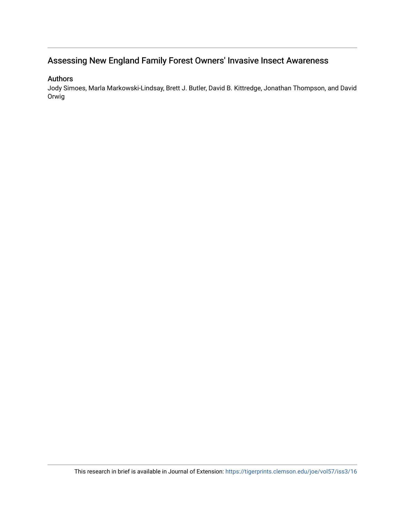# Assessing New England Family Forest Owners' Invasive Insect Awareness

### Authors

Jody Simoes, Marla Markowski-Lindsay, Brett J. Butler, David B. Kittredge, Jonathan Thompson, and David Orwig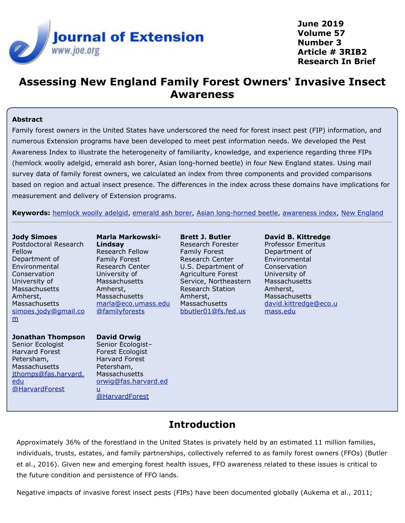

**June 2019 Volume 57 Number 3 Article # 3RIB2 Research In Brief**

# **Assessing New England Family Forest Owners' Invasive Insect Awareness**

### **Abstract**

Family forest owners in the United States have underscored the need for forest insect pest (FIP) information, and numerous Extension programs have been developed to meet pest information needs. We developed the Pest Awareness Index to illustrate the heterogeneity of familiarity, knowledge, and experience regarding three FIPs (hemlock woolly adelgid, emerald ash borer, Asian long-horned beetle) in four New England states. Using mail survey data of family forest owners, we calculated an index from three components and provided comparisons based on region and actual insect presence. The differences in the index across these domains have implications for measurement and delivery of Extension programs.

**Keywords:** [hemlock woolly adelgid](https://joe.cfaes.ohio-state.edu/search-results.php?cx=010816128502272931564%3Aopgn_voyplk&cof=FORID%3A10&ie=UTF-8&q=hemlock woolly adelgid&sa=Search+JOE#1039\), [emerald ash borer](https://joe.cfaes.ohio-state.edu/search-results.php?cx=010816128502272931564%3Aopgn_voyplk&cof=FORID%3A10&ie=UTF-8&q=emerald ash borer&sa=Search+JOE#1039\), [Asian long-horned beetle](https://joe.cfaes.ohio-state.edu/search-results.php?cx=010816128502272931564%3Aopgn_voyplk&cof=FORID%3A10&ie=UTF-8&q=Asian long-horned beetle&sa=Search+JOE#1039\), [awareness index](https://joe.cfaes.ohio-state.edu/search-results.php?cx=010816128502272931564%3Aopgn_voyplk&cof=FORID%3A10&ie=UTF-8&q=awareness index&sa=Search+JOE#1039\), [New England](https://joe.cfaes.ohio-state.edu/search-results.php?cx=010816128502272931564%3Aopgn_voyplk&cof=FORID%3A10&ie=UTF-8&q=New England&sa=Search+JOE#1039)

### **Jody Simoes**

Postdoctoral Research Fellow Department of Environmental Conservation University of Massachusetts Amherst, Massachusetts [simoes.jody@gmail.co](mailto:simoes.jody@gmail.com) [m](mailto:simoes.jody@gmail.com)

### **Jonathan Thompson**

Senior Ecologist Harvard Forest Petersham, **Massachusetts** [jthomps@fas.harvard.](mailto:jthomps@fas.harvard.edu) [edu](mailto:jthomps@fas.harvard.edu) [@HarvardForest](https://twitter.com/HarvardForest)

**Marla Markowski-Lindsay** Research Fellow Family Forest Research Center University of Massachusetts Amherst, Massachusetts [marla@eco.umass.edu](mailto:marla@eco.umass.edu) [@familyforests](https://twitter.com/familyforests)

### **David Orwig**

Senior Ecologist– Forest Ecologist Harvard Forest Petersham, Massachusetts [orwig@fas.harvard.ed](mailto:orwig@fas.harvard.edu) [u](mailto:orwig@fas.harvard.edu) [@HarvardForest](https://twitter.com/HarvardForest)

**Brett J. Butler** Research Forester Family Forest Research Center U.S. Department of Agriculture Forest Service, Northeastern Research Station Amherst, Massachusetts [bbutler01@fs.fed.us](mailto:bbutler01@fs.fed.us)

**David B. Kittredge** Professor Emeritus Department of Environmental Conservation University of Massachusetts Amherst, Massachusetts [david.kittredge@eco.u](mailto:david.kittredge@eco.umass.edu) [mass.edu](mailto:david.kittredge@eco.umass.edu)

# **Introduction**

Approximately 36% of the forestland in the United States is privately held by an estimated 11 million families, individuals, trusts, estates, and family partnerships, collectively referred to as family forest owners (FFOs) (Butler et al., 2016). Given new and emerging forest health issues, FFO awareness related to these issues is critical to the future condition and persistence of FFO lands.

Negative impacts of invasive forest insect pests (FIPs) have been documented globally (Aukema et al., 2011;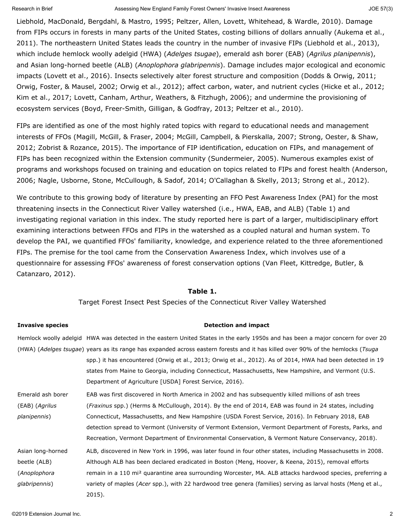Liebhold, MacDonald, Bergdahl, & Mastro, 1995; Peltzer, Allen, Lovett, Whitehead, & Wardle, 2010). Damage from FIPs occurs in forests in many parts of the United States, costing billions of dollars annually (Aukema et al., 2011). The northeastern United States leads the country in the number of invasive FIPs (Liebhold et al., 2013), which include hemlock woolly adelgid (HWA) (*Adelges tsugae*), emerald ash borer (EAB) (*Agrilus planipennis*), and Asian long-horned beetle (ALB) (*Anoplophora glabripennis*). Damage includes major ecological and economic impacts (Lovett et al., 2016). Insects selectively alter forest structure and composition (Dodds & Orwig, 2011; Orwig, Foster, & Mausel, 2002; Orwig et al., 2012); affect carbon, water, and nutrient cycles (Hicke et al., 2012; Kim et al., 2017; Lovett, Canham, Arthur, Weathers, & Fitzhugh, 2006); and undermine the provisioning of ecosystem services (Boyd, Freer-Smith, Gilligan, & Godfray, 2013; Peltzer et al., 2010).

FIPs are identified as one of the most highly rated topics with regard to educational needs and management interests of FFOs (Magill, McGill, & Fraser, 2004; McGill, Campbell, & Pierskalla, 2007; Strong, Oester, & Shaw, 2012; Zobrist & Rozance, 2015). The importance of FIP identification, education on FIPs, and management of FIPs has been recognized within the Extension community (Sundermeier, 2005). Numerous examples exist of programs and workshops focused on training and education on topics related to FIPs and forest health (Anderson, 2006; Nagle, Usborne, Stone, McCullough, & Sadof, 2014; O'Callaghan & Skelly, 2013; Strong et al., 2012).

We contribute to this growing body of literature by presenting an FFO Pest Awareness Index (PAI) for the most threatening insects in the Connecticut River Valley watershed (i.e., HWA, EAB, and ALB) (Table 1) and investigating regional variation in this index. The study reported here is part of a larger, multidisciplinary effort examining interactions between FFOs and FIPs in the watershed as a coupled natural and human system. To develop the PAI, we quantified FFOs' familiarity, knowledge, and experience related to the three aforementioned FIPs. The premise for the tool came from the Conservation Awareness Index, which involves use of a questionnaire for assessing FFOs' awareness of forest conservation options (Van Fleet, Kittredge, Butler, & Catanzaro, 2012).

### **Table 1.**

Target Forest Insect Pest Species of the Connecticut River Valley Watershed

**Invasive species Detection and impact**

### Hemlock woolly adelgid HWA was detected in the eastern United States in the early 1950s and has been a major concern for over 20 (HWA) (*Adelges tsugae*) years as its range has expanded across eastern forests and it has killed over 90% of the hemlocks (*Tsuga* spp.) it has encountered (Orwig et al., 2013; Orwig et al., 2012). As of 2014, HWA had been detected in 19 states from Maine to Georgia, including Connecticut, Massachusetts, New Hampshire, and Vermont (U.S. Department of Agriculture [USDA] Forest Service, 2016). Emerald ash borer (EAB) (*Agrilus planipennis*) EAB was first discovered in North America in 2002 and has subsequently killed millions of ash trees (*Fraxinus* spp.) (Herms & McCullough, 2014). By the end of 2014, EAB was found in 24 states, including Connecticut, Massachusetts, and New Hampshire (USDA Forest Service, 2016). In February 2018, EAB detection spread to Vermont (University of Vermont Extension, Vermont Department of Forests, Parks, and Recreation, Vermont Department of Environmental Conservation, & Vermont Nature Conservancy, 2018). Asian long-horned beetle (ALB) (*Anoplophora glabripennis*) ALB, discovered in New York in 1996, was later found in four other states, including Massachusetts in 2008. Although ALB has been declared eradicated in Boston (Meng, Hoover, & Keena, 2015), removal efforts remain in a 110 mi<sup>2</sup> quarantine area surrounding Worcester, MA. ALB attacks hardwood species, preferring a variety of maples (*Acer* spp.), with 22 hardwood tree genera (families) serving as larval hosts (Meng et al., 2015).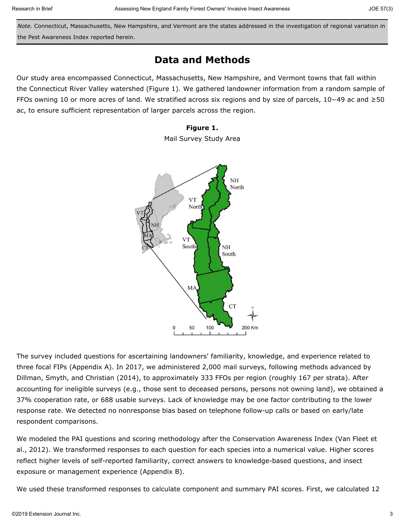*Note.* Connecticut, Massachusetts, New Hampshire, and Vermont are the states addressed in the investigation of regional variation in the Pest Awareness Index reported herein.

### **Data and Methods**

Our study area encompassed Connecticut, Massachusetts, New Hampshire, and Vermont towns that fall within the Connecticut River Valley watershed (Figure 1). We gathered landowner information from a random sample of FFOs owning 10 or more acres of land. We stratified across six regions and by size of parcels, 10−49 ac and ≥50 ac, to ensure sufficient representation of larger parcels across the region.

### **Figure 1.**

Mail Survey Study Area



The survey included questions for ascertaining landowners' familiarity, knowledge, and experience related to three focal FIPs (Appendix A). In 2017, we administered 2,000 mail surveys, following methods advanced by Dillman, Smyth, and Christian (2014), to approximately 333 FFOs per region (roughly 167 per strata). After accounting for ineligible surveys (e.g., those sent to deceased persons, persons not owning land), we obtained a 37% cooperation rate, or 688 usable surveys. Lack of knowledge may be one factor contributing to the lower response rate. We detected no nonresponse bias based on telephone follow-up calls or based on early/late respondent comparisons.

We modeled the PAI questions and scoring methodology after the Conservation Awareness Index (Van Fleet et al., 2012). We transformed responses to each question for each species into a numerical value. Higher scores reflect higher levels of self-reported familiarity, correct answers to knowledge-based questions, and insect exposure or management experience (Appendix B).

We used these transformed responses to calculate component and summary PAI scores. First, we calculated 12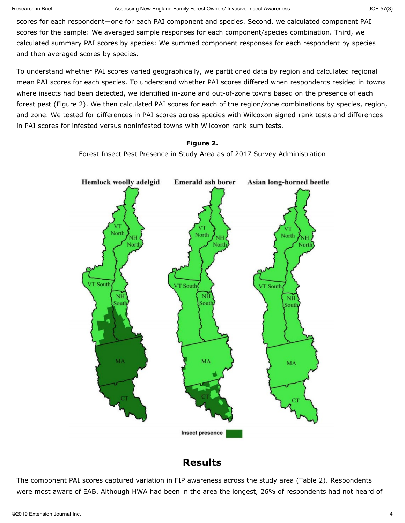scores for each respondent—one for each PAI component and species. Second, we calculated component PAI scores for the sample: We averaged sample responses for each component/species combination. Third, we calculated summary PAI scores by species: We summed component responses for each respondent by species and then averaged scores by species.

To understand whether PAI scores varied geographically, we partitioned data by region and calculated regional mean PAI scores for each species. To understand whether PAI scores differed when respondents resided in towns where insects had been detected, we identified in-zone and out-of-zone towns based on the presence of each forest pest (Figure 2). We then calculated PAI scores for each of the region/zone combinations by species, region, and zone. We tested for differences in PAI scores across species with Wilcoxon signed-rank tests and differences in PAI scores for infested versus noninfested towns with Wilcoxon rank-sum tests.

#### **Figure 2.**

Forest Insect Pest Presence in Study Area as of 2017 Survey Administration



## **Results**

The component PAI scores captured variation in FIP awareness across the study area (Table 2). Respondents were most aware of EAB. Although HWA had been in the area the longest, 26% of respondents had not heard of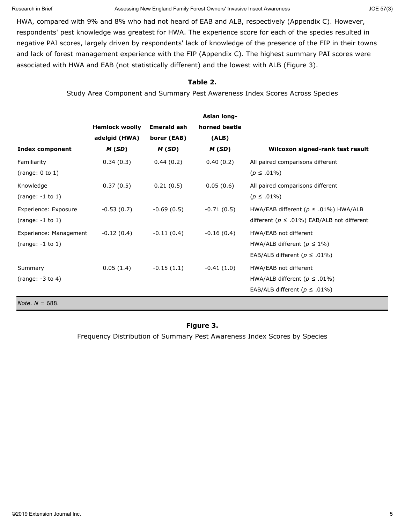Research in Brief **Assessing New England Family Forest Owners'** Invasive Insect Awareness JOE 57(3) JOE 57(3)

HWA, compared with 9% and 8% who had not heard of EAB and ALB, respectively (Appendix C). However, respondents' pest knowledge was greatest for HWA. The experience score for each of the species resulted in negative PAI scores, largely driven by respondents' lack of knowledge of the presence of the FIP in their towns and lack of forest management experience with the FIP (Appendix C). The highest summary PAI scores were associated with HWA and EAB (not statistically different) and the lowest with ALB (Figure 3).

### **Table 2.**

Study Area Component and Summary Pest Awareness Index Scores Across Species

|                          |                       |                    | <b>Asian long-</b> |                                                    |
|--------------------------|-----------------------|--------------------|--------------------|----------------------------------------------------|
|                          | <b>Hemlock woolly</b> | <b>Emerald ash</b> | horned beetle      |                                                    |
|                          | adelgid (HWA)         | borer (EAB)        | (ALB)              |                                                    |
| <b>Index component</b>   | M(SD)                 | M(SD)              | M(SD)              | Wilcoxon signed-rank test result                   |
| Familiarity              | 0.34(0.3)             | 0.44(0.2)          | 0.40(0.2)          | All paired comparisons different                   |
| (range: $0$ to $1$ )     |                       |                    |                    | $(p \le .01\%)$                                    |
| Knowledge                | 0.37(0.5)             | 0.21(0.5)          | 0.05(0.6)          | All paired comparisons different                   |
| $(range: -1 to 1)$       |                       |                    |                    | $(p \le .01\%)$                                    |
| Experience: Exposure     | $-0.53(0.7)$          | $-0.69(0.5)$       | $-0.71(0.5)$       | HWA/EAB different ( $p \le .01\%$ ) HWA/ALB        |
| $(range: -1 to 1)$       |                       |                    |                    | different ( $p \leq .01\%$ ) EAB/ALB not different |
| Experience: Management   | $-0.12(0.4)$          | $-0.11(0.4)$       | $-0.16(0.4)$       | HWA/EAB not different                              |
| $(range: -1 to 1)$       |                       |                    |                    | HWA/ALB different ( $p \leq 1\%$ )                 |
|                          |                       |                    |                    | EAB/ALB different ( $p \le .01\%$ )                |
| Summary                  | 0.05(1.4)             | $-0.15(1.1)$       | $-0.41(1.0)$       | HWA/EAB not different                              |
| (range: $-3$ to 4)       |                       |                    |                    | HWA/ALB different ( $p \le .01\%$ )                |
|                          |                       |                    |                    | EAB/ALB different ( $p \le .01\%$ )                |
| <i>Note.</i> $N = 688$ . |                       |                    |                    |                                                    |

### **Figure 3.**

Frequency Distribution of Summary Pest Awareness Index Scores by Species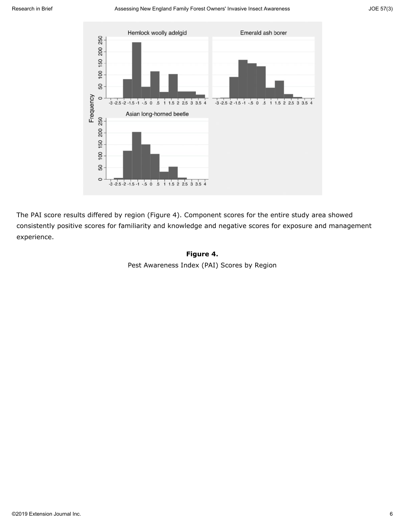#### Research in Brief **Assessing New England Family Forest Owners' Invasive Insect Awareness** JOE 57(3) JOE 57(3)



The PAI score results differed by region (Figure 4). Component scores for the entire study area showed consistently positive scores for familiarity and knowledge and negative scores for exposure and management experience.

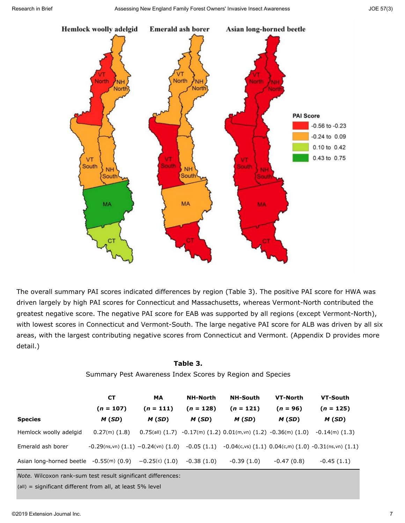

The overall summary PAI scores indicated differences by region (Table 3). The positive PAI score for HWA was driven largely by high PAI scores for Connecticut and Massachusetts, whereas Vermont-North contributed the greatest negative score. The negative PAI score for EAB was supported by all regions (except Vermont-North), with lowest scores in Connecticut and Vermont-South. The large negative PAI score for ALB was driven by all six areas, with the largest contributing negative scores from Connecticut and Vermont. (Appendix D provides more detail.)

### **Table 3.**

Summary Pest Awareness Index Scores by Region and Species

|                                           | <b>CT</b>                                    | MA               | <b>NH-North</b> | <b>NH-South</b>                                                                    | VT-North     | VT-South                                                            |
|-------------------------------------------|----------------------------------------------|------------------|-----------------|------------------------------------------------------------------------------------|--------------|---------------------------------------------------------------------|
|                                           | $(n = 107)$                                  | $(n = 111)$      | $(n = 128)$     | $(n = 121)$                                                                        | $(n = 96)$   | $(n = 125)$                                                         |
| <b>Species</b>                            | M(SD)                                        | M(SD)            | M(SD)           | M(SD)                                                                              | M(SD)        | M(SD)                                                               |
| Hemlock woolly adelgid                    | $0.27(m)$ $(1.8)$                            |                  |                 | $0.75$ (all) $(1.7)$ $-0.17$ (m) $(1.2)$ $0.01$ (m,vn) $(1.2)$ $-0.36$ (m) $(1.0)$ |              | $-0.14(m)$ (1.3)                                                    |
| Emerald ash borer                         | $-0.29$ (ns,vn) $(1.1)$ $-0.24$ (vn) $(1.0)$ |                  | $-0.05(1.1)$    |                                                                                    |              | $-0.04$ (c,vs) $(1.1)$ $0.04$ (c,m) $(1.0)$ $-0.31$ (ns,vn) $(1.1)$ |
| Asian long-horned beetle $-0.55(m)$ (0.9) |                                              | $-0.25(c)$ (1.0) | $-0.38(1.0)$    | $-0.39(1.0)$                                                                       | $-0.47(0.8)$ | $-0.45(1.1)$                                                        |

*Note.* Wilcoxon rank-sum test result significant differences:

(all) = significant different from all, at least 5% level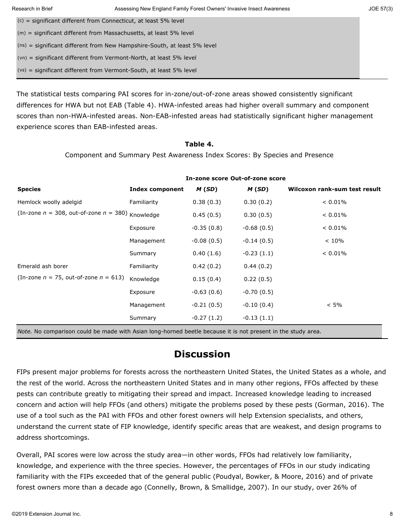| Research in Brief                                                    | Assessing New England Family Forest Owners' Invasive Insect Awareness      | JOE 57(3) |
|----------------------------------------------------------------------|----------------------------------------------------------------------------|-----------|
| $(c)$ = significant different from Connecticut, at least 5% level    |                                                                            |           |
| $(m)$ = significant different from Massachusetts, at least 5% level  |                                                                            |           |
|                                                                      | $(ns)$ = significant different from New Hampshire-South, at least 5% level |           |
| $(vn)$ = significant different from Vermont-North, at least 5% level |                                                                            |           |
| $(vs)$ = significant different from Vermont-South, at least 5% level |                                                                            |           |
|                                                                      |                                                                            |           |

The statistical tests comparing PAI scores for in-zone/out-of-zone areas showed consistently significant differences for HWA but not EAB (Table 4). HWA-infested areas had higher overall summary and component scores than non-HWA-infested areas. Non-EAB-infested areas had statistically significant higher management experience scores than EAB-infested areas.

### **Table 4.**

Component and Summary Pest Awareness Index Scores: By Species and Presence

|                                                                                                                     |                        | In-zone score Out-of-zone score |              |                               |
|---------------------------------------------------------------------------------------------------------------------|------------------------|---------------------------------|--------------|-------------------------------|
| <b>Species</b>                                                                                                      | <b>Index component</b> | M (SD)                          | M (SD)       | Wilcoxon rank-sum test result |
| Hemlock woolly adelgid                                                                                              | Familiarity            | 0.38(0.3)                       | 0.30(0.2)    | $< 0.01\%$                    |
| (In-zone $n = 308$ , out-of-zone $n = 380$ ) Knowledge                                                              |                        | 0.45(0.5)                       | 0.30(0.5)    | $< 0.01\%$                    |
|                                                                                                                     | Exposure               | $-0.35(0.8)$                    | $-0.68(0.5)$ | $< 0.01\%$                    |
|                                                                                                                     | Management             | $-0.08(0.5)$                    | $-0.14(0.5)$ | < 10%                         |
|                                                                                                                     | Summary                | 0.40(1.6)                       | $-0.23(1.1)$ | $< 0.01\%$                    |
| Emerald ash borer                                                                                                   | Familiarity            | 0.42(0.2)                       | 0.44(0.2)    |                               |
| (In-zone $n = 75$ , out-of-zone $n = 613$ )                                                                         | Knowledge              | 0.15(0.4)                       | 0.22(0.5)    |                               |
|                                                                                                                     | Exposure               | $-0.63(0.6)$                    | $-0.70(0.5)$ |                               |
|                                                                                                                     | Management             | $-0.21(0.5)$                    | $-0.10(0.4)$ | $< 5\%$                       |
|                                                                                                                     | Summary                | $-0.27(1.2)$                    | $-0.13(1.1)$ |                               |
| <i>Note.</i> No comparison could be made with Asian long-horned beetle because it is not present in the study area. |                        |                                 |              |                               |

# **Discussion**

FIPs present major problems for forests across the northeastern United States, the United States as a whole, and the rest of the world. Across the northeastern United States and in many other regions, FFOs affected by these pests can contribute greatly to mitigating their spread and impact. Increased knowledge leading to increased concern and action will help FFOs (and others) mitigate the problems posed by these pests (Gorman, 2016). The use of a tool such as the PAI with FFOs and other forest owners will help Extension specialists, and others, understand the current state of FIP knowledge, identify specific areas that are weakest, and design programs to address shortcomings.

Overall, PAI scores were low across the study area—in other words, FFOs had relatively low familiarity, knowledge, and experience with the three species. However, the percentages of FFOs in our study indicating familiarity with the FIPs exceeded that of the general public (Poudyal, Bowker, & Moore, 2016) and of private forest owners more than a decade ago (Connelly, Brown, & Smallidge, 2007). In our study, over 26% of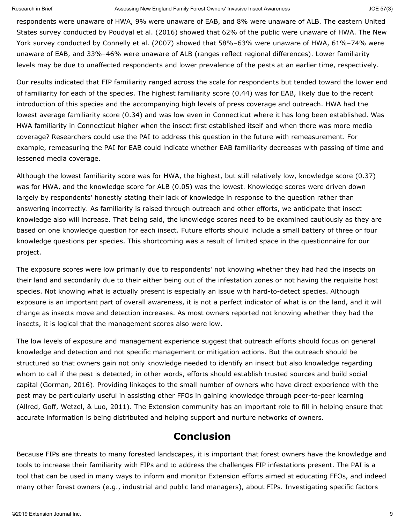#### Research in Brief **Assessing New England Family Forest Owners'** Invasive Insect Awareness JOE 57(3) JOE 57(3)

respondents were unaware of HWA, 9% were unaware of EAB, and 8% were unaware of ALB. The eastern United States survey conducted by Poudyal et al. (2016) showed that 62% of the public were unaware of HWA. The New York survey conducted by Connelly et al. (2007) showed that 58%–63% were unaware of HWA, 61%–74% were unaware of EAB, and 33%–46% were unaware of ALB (ranges reflect regional differences). Lower familiarity levels may be due to unaffected respondents and lower prevalence of the pests at an earlier time, respectively.

Our results indicated that FIP familiarity ranged across the scale for respondents but tended toward the lower end of familiarity for each of the species. The highest familiarity score (0.44) was for EAB, likely due to the recent introduction of this species and the accompanying high levels of press coverage and outreach. HWA had the lowest average familiarity score (0.34) and was low even in Connecticut where it has long been established. Was HWA familiarity in Connecticut higher when the insect first established itself and when there was more media coverage? Researchers could use the PAI to address this question in the future with remeasurement. For example, remeasuring the PAI for EAB could indicate whether EAB familiarity decreases with passing of time and lessened media coverage.

Although the lowest familiarity score was for HWA, the highest, but still relatively low, knowledge score (0.37) was for HWA, and the knowledge score for ALB (0.05) was the lowest. Knowledge scores were driven down largely by respondents' honestly stating their lack of knowledge in response to the question rather than answering incorrectly. As familiarity is raised through outreach and other efforts, we anticipate that insect knowledge also will increase. That being said, the knowledge scores need to be examined cautiously as they are based on one knowledge question for each insect. Future efforts should include a small battery of three or four knowledge questions per species. This shortcoming was a result of limited space in the questionnaire for our project.

The exposure scores were low primarily due to respondents' not knowing whether they had had the insects on their land and secondarily due to their either being out of the infestation zones or not having the requisite host species. Not knowing what is actually present is especially an issue with hard-to-detect species. Although exposure is an important part of overall awareness, it is not a perfect indicator of what is on the land, and it will change as insects move and detection increases. As most owners reported not knowing whether they had the insects, it is logical that the management scores also were low.

The low levels of exposure and management experience suggest that outreach efforts should focus on general knowledge and detection and not specific management or mitigation actions. But the outreach should be structured so that owners gain not only knowledge needed to identify an insect but also knowledge regarding whom to call if the pest is detected; in other words, efforts should establish trusted sources and build social capital (Gorman, 2016). Providing linkages to the small number of owners who have direct experience with the pest may be particularly useful in assisting other FFOs in gaining knowledge through peer-to-peer learning (Allred, Goff, Wetzel, & Luo, 2011). The Extension community has an important role to fill in helping ensure that accurate information is being distributed and helping support and nurture networks of owners.

# **Conclusion**

Because FIPs are threats to many forested landscapes, it is important that forest owners have the knowledge and tools to increase their familiarity with FIPs and to address the challenges FIP infestations present. The PAI is a tool that can be used in many ways to inform and monitor Extension efforts aimed at educating FFOs, and indeed many other forest owners (e.g., industrial and public land managers), about FIPs. Investigating specific factors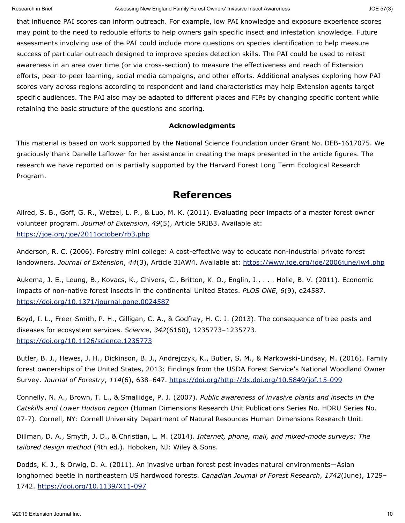that influence PAI scores can inform outreach. For example, low PAI knowledge and exposure experience scores may point to the need to redouble efforts to help owners gain specific insect and infestation knowledge. Future assessments involving use of the PAI could include more questions on species identification to help measure success of particular outreach designed to improve species detection skills. The PAI could be used to retest awareness in an area over time (or via cross-section) to measure the effectiveness and reach of Extension efforts, peer-to-peer learning, social media campaigns, and other efforts. Additional analyses exploring how PAI scores vary across regions according to respondent and land characteristics may help Extension agents target specific audiences. The PAI also may be adapted to different places and FIPs by changing specific content while retaining the basic structure of the questions and scoring.

### **Acknowledgments**

This material is based on work supported by the National Science Foundation under Grant No. DEB-1617075. We graciously thank Danelle Laflower for her assistance in creating the maps presented in the article figures. The research we have reported on is partially supported by the Harvard Forest Long Term Ecological Research Program.

### **References**

Allred, S. B., Goff, G. R., Wetzel, L. P., & Luo, M. K. (2011). Evaluating peer impacts of a master forest owner volunteer program. *Journal of Extension*, *49*(5), Article 5RIB3. Available at: <https://joe.org/joe/2011october/rb3.php>

Anderson, R. C. (2006). Forestry mini college: A cost-effective way to educate non-industrial private forest landowners. *Journal of Extension*, *44*(3), Article 3IAW4. Available at:<https://www.joe.org/joe/2006june/iw4.php>

Aukema, J. E., Leung, B., Kovacs, K., Chivers, C., Britton, K. O., Englin, J., . . . Holle, B. V. (2011). Economic impacts of non-native forest insects in the continental United States. *PLOS ONE*, *6*(9), e24587. <https://doi.org/10.1371/journal.pone.0024587>

Boyd, I. L., Freer-Smith, P. H., Gilligan, C. A., & Godfray, H. C. J. (2013). The consequence of tree pests and diseases for ecosystem services. *Science*, *342*(6160), 1235773–1235773. <https://doi.org/10.1126/science.1235773>

Butler, B. J., Hewes, J. H., Dickinson, B. J., Andrejczyk, K., Butler, S. M., & Markowski-Lindsay, M. (2016). Family forest ownerships of the United States, 2013: Findings from the USDA Forest Service's National Woodland Owner Survey. *Journal of Forestry*, *114*(6), 638–647. [https://doi.org/http://dx.doi.org/10.5849/jof.15-099](https://doi.org/http:/dx.doi.org/10.5849/jof.15-099)

Connelly, N. A., Brown, T. L., & Smallidge, P. J. (2007). *Public awareness of invasive plants and insects in the Catskills and Lower Hudson region* (Human Dimensions Research Unit Publications Series No. HDRU Series No. 07-7). Cornell, NY: Cornell University Department of Natural Resources Human Dimensions Research Unit.

Dillman, D. A., Smyth, J. D., & Christian, L. M. (2014). *Internet, phone, mail, and mixed-mode surveys: The tailored design method* (4th ed.). Hoboken, NJ: Wiley & Sons.

Dodds, K. J., & Orwig, D. A. (2011). An invasive urban forest pest invades natural environments—Asian longhorned beetle in northeastern US hardwood forests. *Canadian Journal of Forest Research*, *1742*(June), 1729– 1742. <https://doi.org/10.1139/X11-097>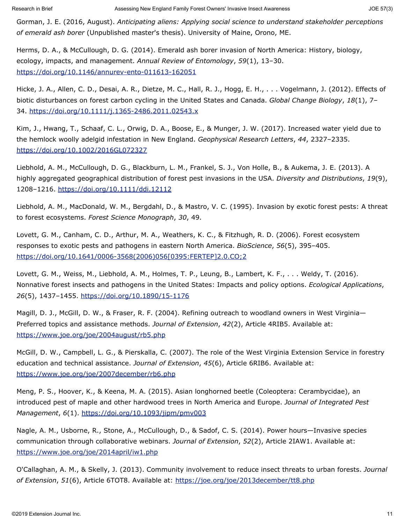Gorman, J. E. (2016, August). *Anticipating aliens: Applying social science to understand stakeholder perceptions of emerald ash borer* (Unpublished master's thesis). University of Maine, Orono, ME.

Herms, D. A., & McCullough, D. G. (2014). Emerald ash borer invasion of North America: History, biology, ecology, impacts, and management. *Annual Review of Entomology*, *59*(1), 13–30. <https://doi.org/10.1146/annurev-ento-011613-162051>

Hicke, J. A., Allen, C. D., Desai, A. R., Dietze, M. C., Hall, R. J., Hogg, E. H., . . . Vogelmann, J. (2012). Effects of biotic disturbances on forest carbon cycling in the United States and Canada. *Global Change Biology*, *18*(1), 7– 34.<https://doi.org/10.1111/j.1365-2486.2011.02543.x>

Kim, J., Hwang, T., Schaaf, C. L., Orwig, D. A., Boose, E., & Munger, J. W. (2017). Increased water yield due to the hemlock woolly adelgid infestation in New England. *Geophysical Research Letters*, *44*, 2327–2335. <https://doi.org/10.1002/2016GL072327>

Liebhold, A. M., McCullough, D. G., Blackburn, L. M., Frankel, S. J., Von Holle, B., & Aukema, J. E. (2013). A highly aggregated geographical distribution of forest pest invasions in the USA. *Diversity and Distributions*, *19*(9), 1208–1216.<https://doi.org/10.1111/ddi.12112>

Liebhold, A. M., MacDonald, W. M., Bergdahl, D., & Mastro, V. C. (1995). Invasion by exotic forest pests: A threat to forest ecosystems. *Forest Science Monograph*, *30*, 49.

Lovett, G. M., Canham, C. D., Arthur, M. A., Weathers, K. C., & Fitzhugh, R. D. (2006). Forest ecosystem responses to exotic pests and pathogens in eastern North America. *BioScience*, *56*(5), 395–405. [https://doi.org/10.1641/0006-3568\(2006\)056\[0395:FERTEP\]2.0.CO;2](https://doi.org/10.1641/0006-3568(2006)056%5b0395:FERTEP%5d2.0.CO;2)

Lovett, G. M., Weiss, M., Liebhold, A. M., Holmes, T. P., Leung, B., Lambert, K. F., . . . Weldy, T. (2016). Nonnative forest insects and pathogens in the United States: Impacts and policy options. *Ecological Applications*, *26*(5), 1437–1455.<https://doi.org/10.1890/15-1176>

Magill, D. J., McGill, D. W., & Fraser, R. F. (2004). Refining outreach to woodland owners in West Virginia— Preferred topics and assistance methods. *Journal of Extension*, *42*(2), Article 4RIB5. Available at: <https://www.joe.org/joe/2004august/rb5.php>

McGill, D. W., Campbell, L. G., & Pierskalla, C. (2007). The role of the West Virginia Extension Service in forestry education and technical assistance. *Journal of Extension*, *45*(6), Article 6RIB6. Available at: <https://www.joe.org/joe/2007december/rb6.php>

Meng, P. S., Hoover, K., & Keena, M. A. (2015). Asian longhorned beetle (Coleoptera: Cerambycidae), an introduced pest of maple and other hardwood trees in North America and Europe. *Journal of Integrated Pest Management*, *6*(1).<https://doi.org/10.1093/jipm/pmv003>

Nagle, A. M., Usborne, R., Stone, A., McCullough, D., & Sadof, C. S. (2014). Power hours—Invasive species communication through collaborative webinars. *Journal of Extension*, *52*(2), Article 2IAW1. Available at: <https://www.joe.org/joe/2014april/iw1.php>

O'Callaghan, A. M., & Skelly, J. (2013). Community involvement to reduce insect threats to urban forests. *Journal of Extension*, *51*(6), Article 6TOT8. Available at:<https://joe.org/joe/2013december/tt8.php>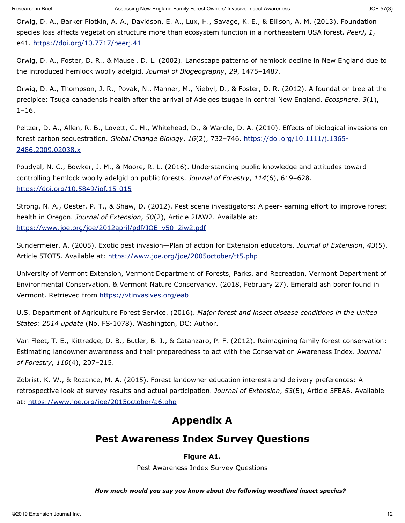Orwig, D. A., Barker Plotkin, A. A., Davidson, E. A., Lux, H., Savage, K. E., & Ellison, A. M. (2013). Foundation species loss affects vegetation structure more than ecosystem function in a northeastern USA forest. *PeerJ*, *1*, e41.<https://doi.org/10.7717/peerj.41>

Orwig, D. A., Foster, D. R., & Mausel, D. L. (2002). Landscape patterns of hemlock decline in New England due to the introduced hemlock woolly adelgid. *Journal of Biogeography*, *29*, 1475–1487.

Orwig, D. A., Thompson, J. R., Povak, N., Manner, M., Niebyl, D., & Foster, D. R. (2012). A foundation tree at the precipice: Tsuga canadensis health after the arrival of Adelges tsugae in central New England. *Ecosphere*, *3*(1),  $1 - 16$ .

Peltzer, D. A., Allen, R. B., Lovett, G. M., Whitehead, D., & Wardle, D. A. (2010). Effects of biological invasions on forest carbon sequestration. *Global Change Biology*, *16*(2), 732–746. [https://doi.org/10.1111/j.1365-](https://doi.org/10.1111/j.1365-2486.2009.02038.x) [2486.2009.02038.x](https://doi.org/10.1111/j.1365-2486.2009.02038.x)

Poudyal, N. C., Bowker, J. M., & Moore, R. L. (2016). Understanding public knowledge and attitudes toward controlling hemlock woolly adelgid on public forests. *Journal of Forestry*, *114*(6), 619–628. <https://doi.org/10.5849/jof.15-015>

Strong, N. A., Oester, P. T., & Shaw, D. (2012). Pest scene investigators: A peer-learning effort to improve forest health in Oregon. *Journal of Extension*, *50*(2), Article 2IAW2. Available at: [https://www.joe.org/joe/2012april/pdf/JOE\\_v50\\_2iw2.pdf](https://www.joe.org/joe/2012april/pdf/JOE_v50_2iw2.pdf)

Sundermeier, A. (2005). Exotic pest invasion—Plan of action for Extension educators. *Journal of Extension*, *43*(5), Article 5TOT5. Available at:<https://www.joe.org/joe/2005october/tt5.php>

University of Vermont Extension, Vermont Department of Forests, Parks, and Recreation, Vermont Department of Environmental Conservation, & Vermont Nature Conservancy. (2018, February 27). Emerald ash borer found in Vermont. Retrieved from<https://vtinvasives.org/eab>

U.S. Department of Agriculture Forest Service. (2016). *Major forest and insect disease conditions in the United States: 2014 update* (No. FS-1078). Washington, DC: Author.

Van Fleet, T. E., Kittredge, D. B., Butler, B. J., & Catanzaro, P. F. (2012). Reimagining family forest conservation: Estimating landowner awareness and their preparedness to act with the Conservation Awareness Index. *Journal of Forestry*, *110*(4), 207–215.

Zobrist, K. W., & Rozance, M. A. (2015). Forest landowner education interests and delivery preferences: A retrospective look at survey results and actual participation. *Journal of Extension*, *53*(5), Article 5FEA6. Available at:<https://www.joe.org/joe/2015october/a6.php>

# **Appendix A**

# **Pest Awareness Index Survey Questions**

### **Figure A1.**

Pest Awareness Index Survey Questions

### *How much would you say you know about the following woodland insect species?*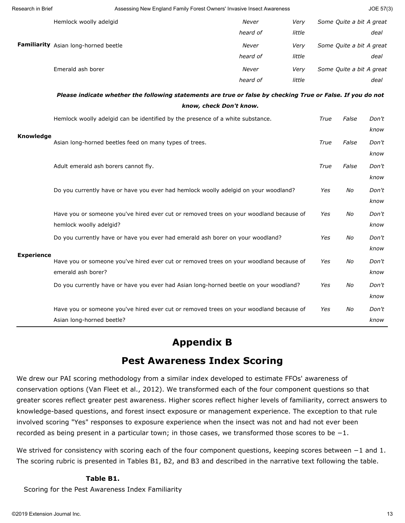| Research in Brief | Assessing New England Family Forest Owners' Invasive Insect Awareness                                             |                         |        |      |                          | JOE 57(3)     |
|-------------------|-------------------------------------------------------------------------------------------------------------------|-------------------------|--------|------|--------------------------|---------------|
|                   | Hemlock woolly adelgid                                                                                            | Never                   | Very   |      | Some Quite a bit A great |               |
|                   |                                                                                                                   | heard of                | little |      |                          | deal          |
|                   | Familiarity Asian long-horned beetle                                                                              | Never                   | Very   |      | Some Quite a bit A great |               |
|                   |                                                                                                                   | heard of                | little |      |                          | deal          |
|                   | Emerald ash borer                                                                                                 | Never                   | Very   |      | Some Quite a bit A great |               |
|                   |                                                                                                                   | heard of                | little |      |                          | deal          |
|                   | Please indicate whether the following statements are true or false by checking True or False. If you do not       |                         |        |      |                          |               |
|                   |                                                                                                                   | know, check Don't know. |        |      |                          |               |
|                   | Hemlock woolly adelgid can be identified by the presence of a white substance.                                    |                         |        | True | False                    | Don't         |
| Knowledge         |                                                                                                                   |                         |        |      |                          | know          |
|                   | Asian long-horned beetles feed on many types of trees.                                                            |                         |        | True | False                    | Don't         |
|                   |                                                                                                                   |                         |        |      |                          | know          |
|                   | Adult emerald ash borers cannot fly.                                                                              |                         |        | True | False                    | Don't         |
|                   |                                                                                                                   |                         |        |      |                          | know          |
|                   | Do you currently have or have you ever had hemlock woolly adelgid on your woodland?                               |                         |        | Yes  | No                       | Don't         |
|                   |                                                                                                                   |                         |        |      |                          | know          |
|                   | Have you or someone you've hired ever cut or removed trees on your woodland because of<br>hemlock woolly adelgid? |                         |        | Yes  | No                       | Don't         |
|                   |                                                                                                                   |                         |        |      |                          | know          |
|                   | Do you currently have or have you ever had emerald ash borer on your woodland?                                    |                         |        | Yes  | No                       | Don't<br>know |
| <b>Experience</b> | Have you or someone you've hired ever cut or removed trees on your woodland because of                            |                         |        | Yes  | No                       | Don't         |
|                   | emerald ash borer?                                                                                                |                         |        |      |                          | know          |
|                   | Do you currently have or have you ever had Asian long-horned beetle on your woodland?                             |                         |        | Yes  | No                       | Don't         |
|                   |                                                                                                                   |                         |        |      |                          | know          |
|                   | Have you or someone you've hired ever cut or removed trees on your woodland because of                            |                         |        | Yes  | No                       | Don't         |
|                   | Asian long-horned beetle?                                                                                         |                         |        |      |                          | know          |
|                   |                                                                                                                   |                         |        |      |                          |               |

# **Appendix B**

# **Pest Awareness Index Scoring**

We drew our PAI scoring methodology from a similar index developed to estimate FFOs' awareness of conservation options (Van Fleet et al., 2012). We transformed each of the four component questions so that greater scores reflect greater pest awareness. Higher scores reflect higher levels of familiarity, correct answers to knowledge-based questions, and forest insect exposure or management experience. The exception to that rule involved scoring "Yes" responses to exposure experience when the insect was not and had not ever been recorded as being present in a particular town; in those cases, we transformed those scores to be −1.

We strived for consistency with scoring each of the four component questions, keeping scores between −1 and 1. The scoring rubric is presented in Tables B1, B2, and B3 and described in the narrative text following the table.

### **Table B1.**

Scoring for the Pest Awareness Index Familiarity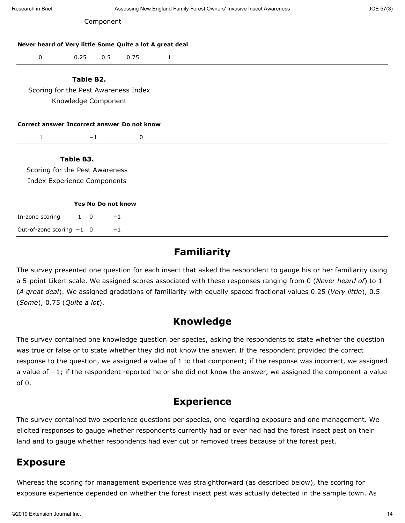| Research in Brief                                        |                     |                    | Assessing New England Family Forest Owners' Invasive Insect Awareness |              |  |  |  |
|----------------------------------------------------------|---------------------|--------------------|-----------------------------------------------------------------------|--------------|--|--|--|
|                                                          |                     |                    |                                                                       |              |  |  |  |
| Never heard of Very little Some Quite a lot A great deal |                     |                    |                                                                       |              |  |  |  |
| $\pmb{0}$                                                | 0.25                | 0.5                | 0.75                                                                  | $\mathbf{1}$ |  |  |  |
|                                                          | Table B2.           |                    |                                                                       |              |  |  |  |
| Scoring for the Pest Awareness Index                     |                     |                    |                                                                       |              |  |  |  |
|                                                          | Knowledge Component |                    |                                                                       |              |  |  |  |
|                                                          |                     |                    |                                                                       |              |  |  |  |
|                                                          |                     |                    |                                                                       |              |  |  |  |
| Correct answer Incorrect answer Do not know              |                     |                    |                                                                       |              |  |  |  |
| $\mathbf{1}$                                             | $-1$                |                    | 0                                                                     |              |  |  |  |
|                                                          | Table B3.           |                    |                                                                       |              |  |  |  |
| Scoring for the Pest Awareness                           |                     |                    |                                                                       |              |  |  |  |
| <b>Index Experience Components</b>                       |                     |                    |                                                                       |              |  |  |  |
|                                                          |                     | Yes No Do not know |                                                                       |              |  |  |  |
| In-zone scoring                                          | $1 \quad 0$         | $-1$               |                                                                       |              |  |  |  |

# **Familiarity**

The survey presented one question for each insect that asked the respondent to gauge his or her familiarity using a 5-point Likert scale. We assigned scores associated with these responses ranging from 0 (*Never heard of*) to 1 (*A great deal*). We assigned gradations of familiarity with equally spaced fractional values 0.25 (*Very little*), 0.5 (*Some*), 0.75 (*Quite a lot*).

# **Knowledge**

The survey contained one knowledge question per species, asking the respondents to state whether the question was true or false or to state whether they did not know the answer. If the respondent provided the correct response to the question, we assigned a value of 1 to that component; if the response was incorrect, we assigned a value of *−*1; if the respondent reported he or she did not know the answer, we assigned the component a value  $of 0.$ 

# **Experience**

The survey contained two experience questions per species, one regarding exposure and one management. We elicited responses to gauge whether respondents currently had or ever had had the forest insect pest on their land and to gauge whether respondents had ever cut or removed trees because of the forest pest.

# **Exposure**

Whereas the scoring for management experience was straightforward (as described below), the scoring for exposure experience depended on whether the forest insect pest was actually detected in the sample town. As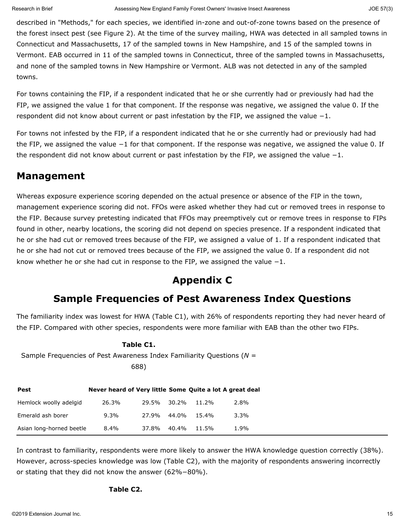described in "Methods," for each species, we identified in-zone and out-of-zone towns based on the presence of the forest insect pest (see Figure 2). At the time of the survey mailing, HWA was detected in all sampled towns in Connecticut and Massachusetts, 17 of the sampled towns in New Hampshire, and 15 of the sampled towns in Vermont. EAB occurred in 11 of the sampled towns in Connecticut, three of the sampled towns in Massachusetts, and none of the sampled towns in New Hampshire or Vermont. ALB was not detected in any of the sampled towns.

For towns containing the FIP, if a respondent indicated that he or she currently had or previously had had the FIP, we assigned the value 1 for that component. If the response was negative, we assigned the value 0. If the respondent did not know about current or past infestation by the FIP, we assigned the value *−*1.

For towns not infested by the FIP, if a respondent indicated that he or she currently had or previously had had the FIP, we assigned the value *−*1 for that component. If the response was negative, we assigned the value 0. If the respondent did not know about current or past infestation by the FIP, we assigned the value *−*1.

# **Management**

Whereas exposure experience scoring depended on the actual presence or absence of the FIP in the town, management experience scoring did not. FFOs were asked whether they had cut or removed trees in response to the FIP. Because survey pretesting indicated that FFOs may preemptively cut or remove trees in response to FIPs found in other, nearby locations, the scoring did not depend on species presence. If a respondent indicated that he or she had cut or removed trees because of the FIP, we assigned a value of 1. If a respondent indicated that he or she had not cut or removed trees because of the FIP, we assigned the value 0. If a respondent did not know whether he or she had cut in response to the FIP, we assigned the value *−*1.

# **Appendix C**

# **Sample Frequencies of Pest Awareness Index Questions**

The familiarity index was lowest for HWA (Table C1), with 26% of respondents reporting they had never heard of the FIP. Compared with other species, respondents were more familiar with EAB than the other two FIPs.

### **Table C1.**

Sample Frequencies of Pest Awareness Index Familiarity Questions (*N* =

688)

| Pest                     | Never heard of Very little Some Quite a lot A great deal |       |       |       |      |
|--------------------------|----------------------------------------------------------|-------|-------|-------|------|
| Hemlock woolly adelgid   | 26.3%                                                    | 29.5% | 30.2% | 11.2% | 2.8% |
| Emerald ash borer        | 9.3%                                                     | 27.9% | 44.በ% | 15.4% | 3.3% |
| Asian long-horned beetle | $8.4\%$                                                  | 37.8% | 40.4% | 11.5% | 1.9% |

In contrast to familiarity, respondents were more likely to answer the HWA knowledge question correctly (38%). However, across-species knowledge was low (Table C2), with the majority of respondents answering incorrectly or stating that they did not know the answer (62%−80%).

### **Table C2.**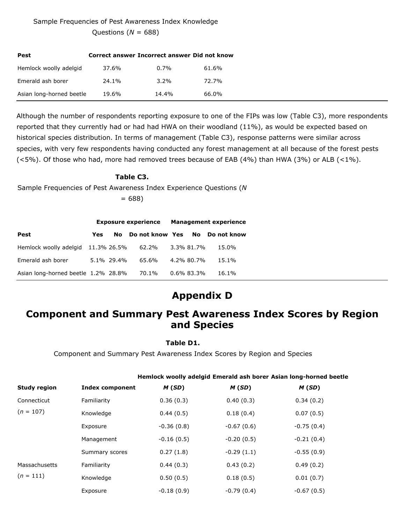### Sample Frequencies of Pest Awareness Index Knowledge

Questions (*N* = 688)

| <b>Pest</b>              | Correct answer Incorrect answer Did not know |         |       |
|--------------------------|----------------------------------------------|---------|-------|
| Hemlock woolly adelgid   | 37.6%                                        | 0.7%    | 61.6% |
| Emerald ash borer        | 24.1%                                        | $3.2\%$ | 72.7% |
| Asian long-horned beetle | 19.6%                                        | 14.4%   | 66.0% |

Although the number of respondents reporting exposure to one of the FIPs was low (Table C3), more respondents reported that they currently had or had had HWA on their woodland (11%), as would be expected based on historical species distribution. In terms of management (Table C3), response patterns were similar across species, with very few respondents having conducted any forest management at all because of the forest pests (<5%). Of those who had, more had removed trees because of EAB (4%) than HWA (3%) or ALB (<1%).

### **Table C3.**

Sample Frequencies of Pest Awareness Index Experience Questions (*N*

 $= 688$ 

|                                     | <b>Exposure experience</b> |            |                 | <b>Management experience</b> |               |             |
|-------------------------------------|----------------------------|------------|-----------------|------------------------------|---------------|-------------|
| Pest                                | Yes                        | No.        | Do not know Yes |                              | <b>No</b>     | Do not know |
| Hemlock woolly adelgid 11.3% 26.5%  |                            |            | 62.2%           |                              | 3.3% 81.7%    | 15.0%       |
| Emerald ash borer                   |                            | 5.1% 29.4% | 65.6%           |                              | 4.2% 80.7%    | 15.1%       |
| Asian long-horned beetle 1.2% 28.8% |                            |            | 70.1%           |                              | $0.6\%$ 83.3% | 16.1%       |

# **Appendix D**

# **Component and Summary Pest Awareness Index Scores by Region and Species**

### **Table D1.**

Component and Summary Pest Awareness Index Scores by Region and Species

|                     |                        |              |              | Hemlock woolly adelgid Emerald ash borer Asian long-horned beetle |
|---------------------|------------------------|--------------|--------------|-------------------------------------------------------------------|
| <b>Study region</b> | <b>Index component</b> | M(SD)        | M(SD)        | M(SD)                                                             |
| Connecticut         | Familiarity            | 0.36(0.3)    | 0.40(0.3)    | 0.34(0.2)                                                         |
| $(n = 107)$         | Knowledge              | 0.44(0.5)    | 0.18(0.4)    | 0.07(0.5)                                                         |
|                     | Exposure               | $-0.36(0.8)$ | $-0.67(0.6)$ | $-0.75(0.4)$                                                      |
|                     | Management             | $-0.16(0.5)$ | $-0.20(0.5)$ | $-0.21(0.4)$                                                      |
|                     | Summary scores         | 0.27(1.8)    | $-0.29(1.1)$ | $-0.55(0.9)$                                                      |
| Massachusetts       | Familiarity            | 0.44(0.3)    | 0.43(0.2)    | 0.49(0.2)                                                         |
| $(n = 111)$         | Knowledge              | 0.50(0.5)    | 0.18(0.5)    | 0.01(0.7)                                                         |
|                     | Exposure               | $-0.18(0.9)$ | $-0.79(0.4)$ | $-0.67(0.5)$                                                      |